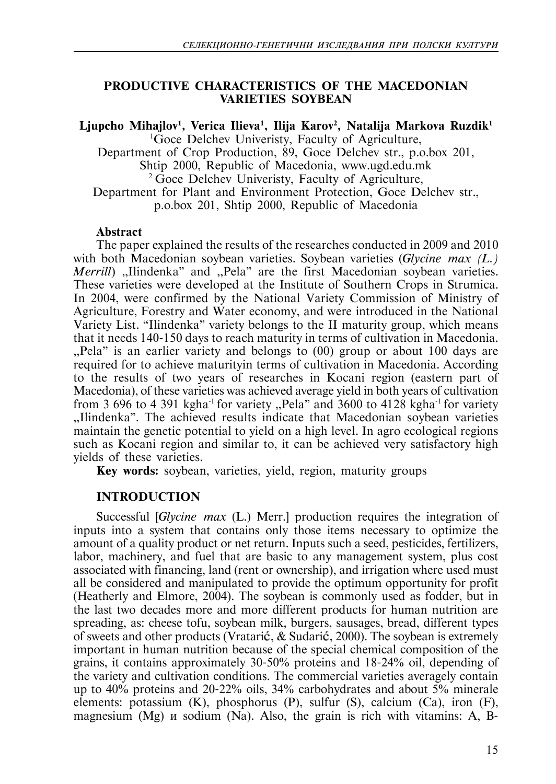# **PRODUCTIVE CHARACTERISTICS OF THE MACEDONIAN VARIETIES SOYBEAN**

Ljupcho Mihajlov<sup>1</sup>, Verica Ilieva<sup>1</sup>, Ilija Karov<sup>2</sup>, Natalija Markova Ruzdik<sup>1</sup> 1 Goce Delchev Univeristy, Faculty of Agriculture, Department of Crop Production, 89, Goce Delchev str., p.o.box 201, Shtip 2000, Republic of Macedonia, www.ugd.edu.mk 2 Goce Delchev Univeristy, Faculty of Agriculture, Department for Plant and Environment Protection, Goce Delchev str., p.o.box 201, Shtip 2000, Republic of Macedonia

# **Abstract**

The paper explained the results of the researches conducted in 2009 and 2010 with both Macedonian soybean varieties. Soybean varieties (*Glycine max (L.) Merrill*) "Ilindenka" and "Pela" are the first Macedonian soybean varieties. These varieties were developed at the Institute of Southern Crops in Strumica. In 2004, were confirmed by the National Variety Commission of Ministry of Agriculture, Forestry and Water economy, and were introduced in the National Variety List. "Ilindenka" variety belongs to the II maturity group, which means that it needs 140-150 days to reach maturity in terms of cultivation in Macedonia. ,,Pela" is an earlier variety and belongs to (00) group or about 100 days are required for to achieve maturityin terms of cultivation in Macedonia. According to the results of two years of researches in Kocani region (eastern part of Macedonia), of these varieties was achieved average yield in both years of cultivation from 3 696 to 4 391 kgha<sup>-1</sup> for variety "Pela" and 3600 to 4128 kgha<sup>-1</sup> for variety ,,Ilindenka". The achieved results indicate that Macedonian soybean varieties maintain the genetic potential to yield on a high level. In agro ecological regions such as Kocani region and similar to, it can be achieved very satisfactory high yields of these varieties.

**Key words:** soybean, varieties, yield, region, maturity groups

# **INTRODUCTION**

Successful [*Glycine max* (L.) Merr.] production requires the integration of inputs into a system that contains only those items necessary to optimize the amount of a quality product or net return. Inputs such a seed, pesticides, fertilizers, labor, machinery, and fuel that are basic to any management system, plus cost associated with financing, land (rent or ownership), and irrigation where used must all be considered and manipulated to provide the optimum opportunity for profit (Heatherly and Elmore, 2004). The soybean is commonly used as fodder, but in the last two decades more and more different products for human nutrition are spreading, as: cheese tofu, soybean milk, burgers, sausages, bread, different types of sweets and other products (Vratarić,  $\&$  Sudarić, 2000). The soybean is extremely important in human nutrition because of the special chemical composition of the grains, it contains approximately 30-50% proteins and 18-24% oil, depending of the variety and cultivation conditions. The commercial varieties averagely contain up to 40% proteins and 20-22% oils, 34% carbohydrates and about 5% minerale elements: potassium (K), phosphorus (P), sulfur (S), calcium (Ca), iron (F), magnesium  $(Mg)$  *u* sodium  $(Na)$ . Also, the grain is rich with vitamins: A, B-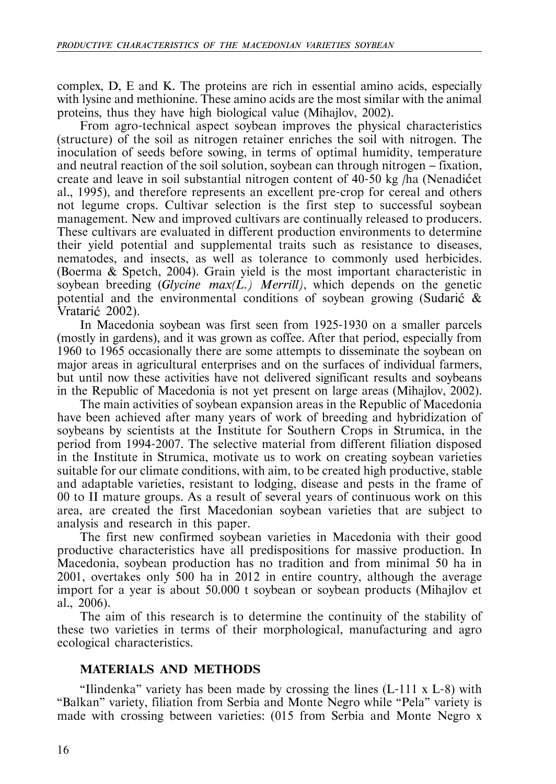complex, D, E and K. The proteins are rich in essential amino acids, especially with lysine and methionine. These amino acids are the most similar with the animal proteins, thus they have high biological value (Mihajlov, 2002).

From agro-technical aspect soybean improves the physical characteristics (structure) of the soil as nitrogen retainer enriches the soil with nitrogen. The inoculation of seeds before sowing, in terms of optimal humidity, temperature and neutral reaction of the soil solution, soybean can through nitrogen — fixation, create and leave in soil substantial nitrogen content of  $40-50$  kg /ha (Nenadictet al., 1995), and therefore represents an excellent pre-crop for cereal and others not legume crops. Cultivar selection is the first step to successful soybean management. New and improved cultivars are continually released to producers. These cultivars are evaluated in different production environments to determine their yield potential and supplemental traits such as resistance to diseases, nematodes, and insects, as well as tolerance to commonly used herbicides. (Boerma & Spetch, 2004). Grain yield is the most important characteristic in soybean breeding (*Glycine max(L.) Merrill)*, which depends on the genetic potential and the environmental conditions of soybean growing (Sudarić  $\&$ Vratarić 2002).

In Macedonia soybean was first seen from 1925-1930 on a smaller parcels (mostly in gardens), and it was grown as coffee. After that period, especially from 1960 to 1965 occasionally there are some attempts to disseminate the soybean on major areas in agricultural enterprises and on the surfaces of individual farmers, but until now these activities have not delivered significant results and soybeans in the Republic of Macedonia is not yet present on large areas (Mihajlov, 2002).

The main activities of soybean expansion areas in the Republic of Macedonia have been achieved after many years of work of breeding and hybridization of soybeans by scientists at the Institute for Southern Crops in Strumica, in the period from 1994-2007. The selective material from different filiation disposed in the Institute in Strumica, motivate us to work on creating soybean varieties suitable for our climate conditions, with aim, to be created high productive, stable and adaptable varieties, resistant to lodging, disease and pests in the frame of 00 to II mature groups. As a result of several years of continuous work on this area, are created the first Macedonian soybean varieties that are subject to analysis and research in this paper.

The first new confirmed soybean varieties in Macedonia with their good productive characteristics have all predispositions for massive production. In Macedonia, soybean production has no tradition and from minimal 50 ha in 2001, overtakes only 500 ha in 2012 in entire country, although the average import for a year is about 50.000 t soybean or soybean products (Mihajlov et al., 2006).

The aim of this research is to determine the continuity of the stability of these two varieties in terms of their morphological, manufacturing and agro ecological characteristics.

# **MATERIALS AND METHODS**

"Ilindenka" variety has been made by crossing the lines  $(L-111 \times L-8)$  with "Balkan" variety, filiation from Serbia and Monte Negro while "Pela" variety is made with crossing between varieties: (015 from Serbia and Monte Negro x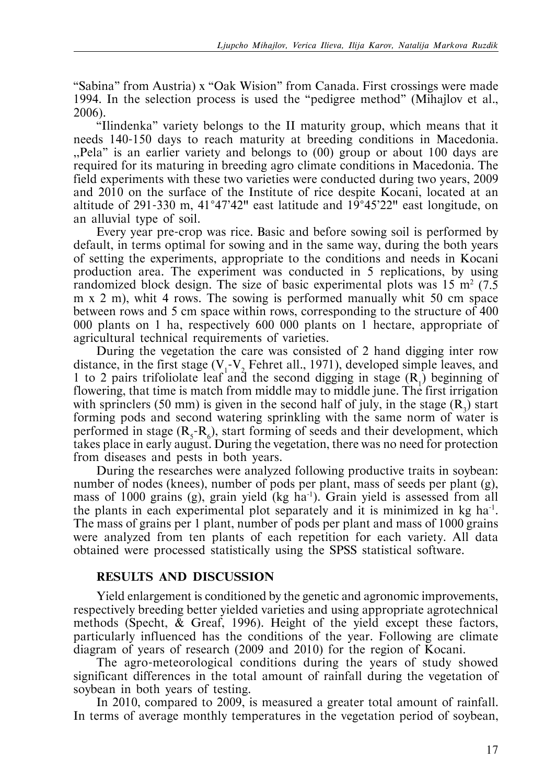"Sabina" from Austria) x "Oak Wision" from Canada. First crossings were made 1994. In the selection process is used the "pedigree method" (Mihajlov et al., 2006).

"Ilindenka" variety belongs to the II maturity group, which means that it needs 140-150 days to reach maturity at breeding conditions in Macedonia. ,,Pela" is an earlier variety and belongs to (00) group or about 100 days are required for its maturing in breeding agro climate conditions in Macedonia. The field experiments with these two varieties were conducted during two years, 2009 and 2010 on the surface of the Institute of rice despite Kocani, located at an altitude of 291-330 m, 41°47'42" east latitude and 19°45'22" east longitude, on an alluvial type of soil.

Every year pre-crop was rice. Basic and before sowing soil is performed by default, in terms optimal for sowing and in the same way, during the both years of setting the experiments, appropriate to the conditions and needs in Kocani production area. The experiment was conducted in 5 replications, by using randomized block design. The size of basic experimental plots was  $15 \text{ m}^2$  (7.5) m x 2 m), whit 4 rows. The sowing is performed manually whit 50 cm space between rows and 5 cm space within rows, corresponding to the structure of 400 000 plants on 1 ha, respectively 600 000 plants on 1 hectare, appropriate of agricultural technical requirements of varieties.

During the vegetation the care was consisted of 2 hand digging inter row distance, in the first stage  $(V_1 - V_2)$  Fehret all., 1971), developed simple leaves, and 1 to 2 pairs trifoliolate leaf and the second digging in stage  $(R_1)$  beginning of flowering, that time is match from middle may to middle june. The first irrigation with sprinclers (50 mm) is given in the second half of july, in the stage  $(R_3)$  start forming pods and second watering sprinkling with the same norm of water is performed in stage  $(R_s - R_6)$ , start forming of seeds and their development, which takes place in early august. During the vegetation, there was no need for protection from diseases and pests in both years.

During the researches were analyzed following productive traits in soybean: number of nodes (knees), number of pods per plant, mass of seeds per plant (g), mass of 1000 grains (g), grain yield (kg ha<sup>-1</sup>). Grain yield is assessed from all the plants in each experimental plot separately and it is minimized in kg  $ha^{-1}$ . The mass of grains per 1 plant, number of pods per plant and mass of 1000 grains were analyzed from ten plants of each repetition for each variety. All data obtained were processed statistically using the SPSS statistical software.

# **RESULTS AND DISCUSSION**

Yield enlargement is conditioned by the genetic and agronomic improvements, respectively breeding better yielded varieties and using appropriate agrotechnical methods (Specht, & Greaf, 1996). Height of the yield except these factors, particularly influenced has the conditions of the year. Following are climate diagram of years of research (2009 and 2010) for the region of Kocani.

The agro-meteorological conditions during the years of study showed significant differences in the total amount of rainfall during the vegetation of soybean in both years of testing.

In 2010, compared to 2009, is measured a greater total amount of rainfall. In terms of average monthly temperatures in the vegetation period of soybean,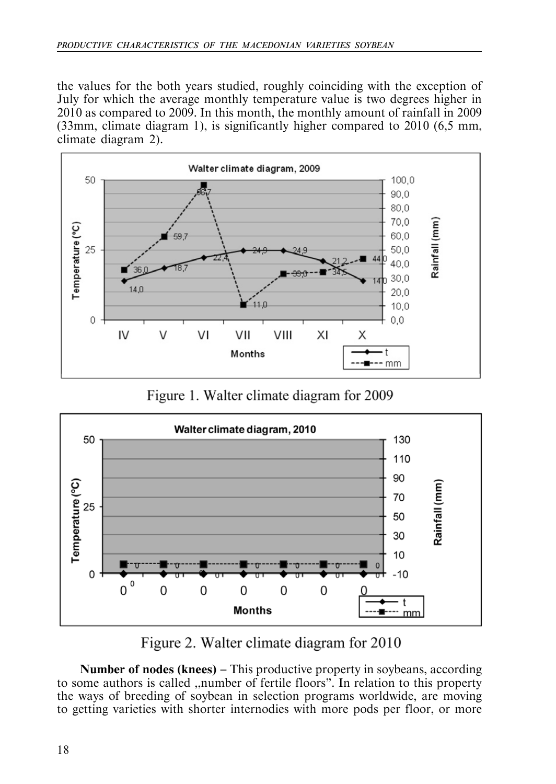the values for the both years studied, roughly coinciding with the exception of July for which the average monthly temperature value is two degrees higher in 2010 as compared to 2009. In this month, the monthly amount of rainfall in 2009 (33mm, climate diagram 1), is significantly higher compared to 2010 (6,5 mm, climate diagram 2).



Figure 1. Walter climate diagram for 2009



Figure 2. Walter climate diagram for 2010

**Number of nodes (knees)** — This productive property in soybeans, according to some authors is called ,,number of fertile floors". In relation to this property the ways of breeding of soybean in selection programs worldwide, are moving to getting varieties with shorter internodies with more pods per floor, or more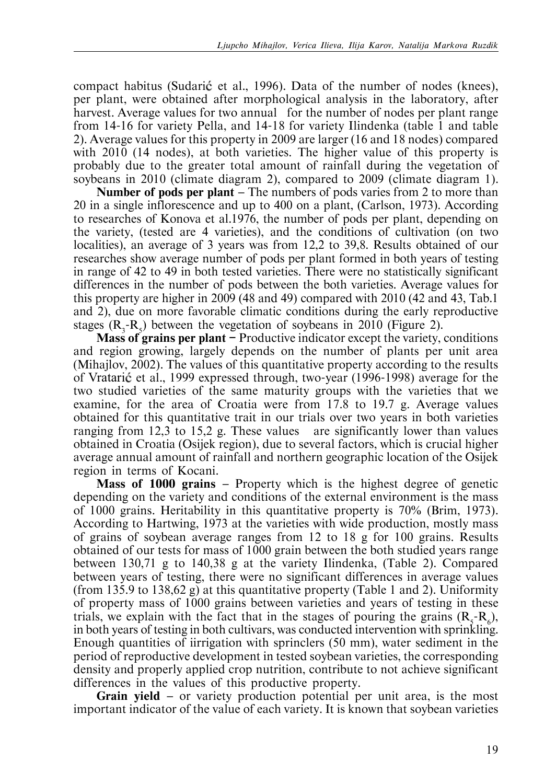compact habitus (Sudarić et al., 1996). Data of the number of nodes (knees), per plant, were obtained after morphological analysis in the laboratory, after harvest. Average values for two annual for the number of nodes per plant range from 14-16 for variety Pella, and 14-18 for variety Ilindenka (table 1 and table 2). Average values for this property in 2009 are larger (16 and 18 nodes) compared with 2010 (14 nodes), at both varieties. The higher value of this property is probably due to the greater total amount of rainfall during the vegetation of soybeans in 2010 (climate diagram 2), compared to 2009 (climate diagram 1).

**Number of pods per plant** – The numbers of pods varies from 2 to more than 20 in a single inflorescence and up to 400 on a plant, (Carlson, 1973). According to researches of Konova et al.1976, the number of pods per plant, depending on the variety, (tested are 4 varieties), and the conditions of cultivation (on two localities), an average of 3 years was from 12,2 to 39,8. Results obtained of our researches show average number of pods per plant formed in both years of testing in range of 42 to 49 in both tested varieties. There were no statistically significant differences in the number of pods between the both varieties. Average values for this property are higher in 2009 (48 and 49) compared with 2010 (42 and 43, Tab.1 and 2), due on more favorable climatic conditions during the early reproductive stages  $(R_3-R_5)$  between the vegetation of soybeans in 2010 (Figure 2).

**Mass of grains per plant —** Productive indicator except the variety, conditions and region growing, largely depends on the number of plants per unit area (Mihajlov, 2002). The values of this quantitative property according to the results of Vratari et al., 1999 expressed through, two-year (1996-1998) average for the two studied varieties of the same maturity groups with the varieties that we examine, for the area of Croatia were from 17.8 to 19.7 g. Average values obtained for this quantitative trait in our trials over two years in both varieties ranging from 12,3 to 15,2 g. These values are significantly lower than values obtained in Croatia (Osijek region), due to several factors, which is crucial higher average annual amount of rainfall and northern geographic location of the Osijek region in terms of Kocani.

**Mass of 1000 grains** — Property which is the highest degree of genetic depending on the variety and conditions of the external environment is the mass of 1000 grains. Heritability in this quantitative property is 70% (Brim, 1973). According to Hartwing, 1973 at the varieties with wide production, mostly mass of grains of soybean average ranges from 12 to 18 g for 100 grains. Results obtained of our tests for mass of 1000 grain between the both studied years range between 130,71 g to 140,38 g at the variety Ilindenka, (Table 2). Compared between years of testing, there were no significant differences in average values (from 135.9 to 138,62 g) at this quantitative property (Table 1 and 2). Uniformity of property mass of 1000 grains between varieties and years of testing in these trials, we explain with the fact that in the stages of pouring the grains  $(R_5-R_6)$ , in both years of testing in both cultivars, was conducted intervention with sprinkling. Enough quantities of iirrigation with sprinclers (50 mm), water sediment in the period of reproductive development in tested soybean varieties, the corresponding density and properly applied crop nutrition, contribute to not achieve significant differences in the values of this productive property.

**Grain yield** — or variety production potential per unit area, is the most important indicator of the value of each variety. It is known that soybean varieties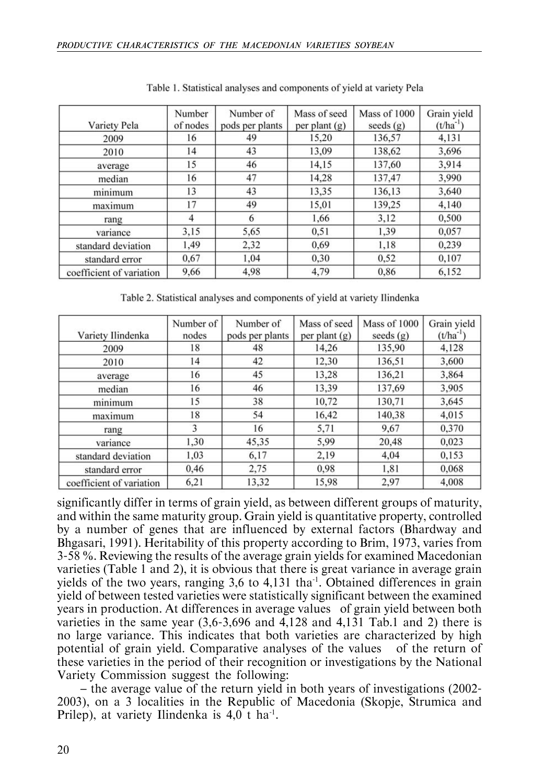| Variety Pela             | Number<br>of nodes | Number of<br>pods per plants | Mass of seed<br>per plant (g) | Mass of 1000<br>seeds $(g)$ | Grain yield<br>$(t/ha^{-1})$ |
|--------------------------|--------------------|------------------------------|-------------------------------|-----------------------------|------------------------------|
| 2009                     | 16                 | 49                           | 15,20                         | 136,57                      | 4,131                        |
| 2010                     | 14                 | 43                           | 13,09                         | 138,62                      | 3,696                        |
| average                  | 15                 | 46                           | 14,15                         | 137,60                      | 3,914                        |
| median                   | 16                 | 47                           | 14,28                         | 137,47                      | 3,990                        |
| minimum                  | 13                 | 43                           | 13,35                         | 136,13                      | 3,640                        |
| maximum                  | 17                 | 49                           | 15,01                         | 139,25                      | 4,140                        |
| rang                     | 4                  | 6                            | 1,66                          | 3,12                        | 0,500                        |
| variance                 | 3,15               | 5,65                         | 0,51                          | 1,39                        | 0,057                        |
| standard deviation       | 1,49               | 2,32                         | 0,69                          | 1,18                        | 0,239                        |
| standard error           | 0,67               | 1,04                         | 0,30                          | 0,52                        | 0.107                        |
| coefficient of variation | 9,66               | 4,98                         | 4,79                          | 0.86                        | 6,152                        |

Table 1. Statistical analyses and components of yield at variety Pela

Table 2. Statistical analyses and components of yield at variety Ilindenka

| Variety Ilindenka        | Number of<br>nodes | Number of<br>pods per plants | Mass of seed<br>per plant (g) | Mass of 1000<br>seeds $(g)$ | Grain yield<br>$(t/ha^{-1})$ |
|--------------------------|--------------------|------------------------------|-------------------------------|-----------------------------|------------------------------|
| 2009                     | 18                 | 48                           | 14,26                         | 135,90                      | 4,128                        |
| 2010                     | 14                 | 42                           | 12,30                         | 136,51                      | 3,600                        |
| average                  | 16                 | 45                           | 13,28                         | 136.21                      | 3,864                        |
| median                   | 16                 | 46                           | 13.39                         | 137,69                      | 3,905                        |
| minimum                  | 15                 | 38                           | 10,72                         | 130,71                      | 3,645                        |
| maximum                  | 18                 | 54                           | 16,42                         | 140,38                      | 4,015                        |
| rang                     | 3                  | 16                           | 5,71                          | 9.67                        | 0.370                        |
| variance                 | 1.30               | 45,35                        | 5,99                          | 20,48                       | 0.023                        |
| standard deviation       | 1,03               | 6,17                         | 2,19                          | 4,04                        | 0,153                        |
| standard error           | 0,46               | 2,75                         | 0.98                          | 1,81                        | 0,068                        |
| coefficient of variation | 6,21               | 13,32                        | 15,98                         | 2,97                        | 4,008                        |

significantly differ in terms of grain yield, as between different groups of maturity, and within the same maturity group. Grain yield is quantitative property, controlled by a number of genes that are influenced by external factors (Bhardway and Bhgasari, 1991). Heritability of this property according to Brim, 1973, varies from 3-58 %. Reviewing the results of the average grain yields for examined Macedonian varieties (Table 1 and 2), it is obvious that there is great variance in average grain yields of the two years, ranging  $3,6$  to  $4,131$  tha<sup>1</sup>. Obtained differences in grain yield of between tested varieties were statistically significant between the examined years in production. At differences in average values of grain yield between both varieties in the same year (3,6-3,696 and 4,128 and 4,131 Tab.1 and 2) there is no large variance. This indicates that both varieties are characterized by high potential of grain yield. Comparative analyses of the values of the return of these varieties in the period of their recognition or investigations by the National Variety Commission suggest the following:

— the average value of the return yield in both years of investigations (2002- 2003), on a 3 localities in the Republic of Macedonia (Skopje, Strumica and Prilep), at variety Ilindenka is  $4.0 \text{ t}$  ha<sup>-1</sup>.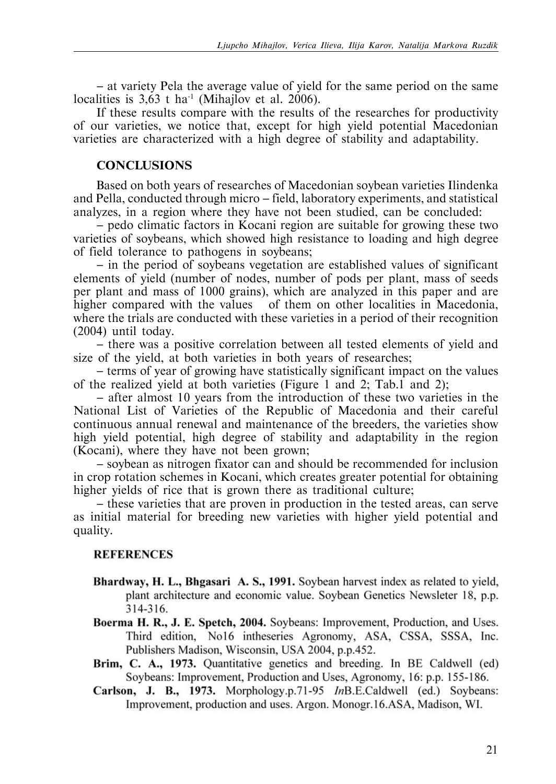— at variety Pela the average value of yield for the same period on the same localities is  $3,63$  t ha<sup>-1</sup> (Mihajlov et al. 2006).

If these results compare with the results of the researches for productivity of our varieties, we notice that, except for high yield potential Macedonian varieties are characterized with a high degree of stability and adaptability.

### **CONCLUSIONS**

Based on both years of researches of Macedonian soybean varieties Ilindenka and Pella, conducted through micro — field, laboratory experiments, and statistical analyzes, in a region where they have not been studied, can be concluded:

— pedo climatic factors in Kocani region are suitable for growing these two varieties of soybeans, which showed high resistance to loading and high degree of field tolerance to pathogens in soybeans;

— in the period of soybeans vegetation are established values of significant elements of yield (number of nodes, number of pods per plant, mass of seeds per plant and mass of 1000 grains), which are analyzed in this paper and are higher compared with the values of them on other localities in Macedonia, where the trials are conducted with these varieties in a period of their recognition (2004) until today.

— there was a positive correlation between all tested elements of yield and size of the yield, at both varieties in both years of researches;

— terms of year of growing have statistically significant impact on the values of the realized yield at both varieties (Figure 1 and 2; Tab.1 and 2);

— after almost 10 years from the introduction of these two varieties in the National List of Varieties of the Republic of Macedonia and their careful continuous annual renewal and maintenance of the breeders, the varieties show high yield potential, high degree of stability and adaptability in the region (Kocani), where they have not been grown;

— soybean as nitrogen fixator can and should be recommended for inclusion in crop rotation schemes in Kocani, which creates greater potential for obtaining higher yields of rice that is grown there as traditional culture;

— these varieties that are proven in production in the tested areas, can serve as initial material for breeding new varieties with higher yield potential and quality.

# **REFERENCES**

- **Bhardway, H. L., Bhgasari A. S., 1991.** Soybean harvest index as related to plant architecture and economic value. Soybean Genetics Newsleter 18, p.p.  $314 - 316.$
- **Boerma H. R., J. E. Spetch, 2004.** Soybeans: Improvement, Production, and Third edition, No16 intheseries Agronomy, ASA, CSSA, SSSA, Inc. Publishers Madison, Wisconsin, USA 2004, p.p.452. **Brim, C. A., 1973.** Quantitative genetics and breeding. In BE Caldwell (ed)
- Soybeans: Improvement, Production and Uses, Agronomy, 16: p.p. 155- . ასე<br>. . . .
- **Carlson, J. B., 1973.** Morphology.p.71-95 *In*B.E.Caldwell (ed.) Soybeans: Improvement, production and uses. Argon. Monogr.16.ASA, Madison, WI.